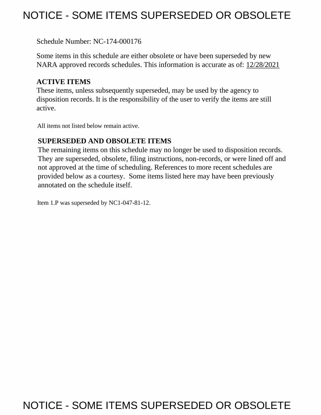# NOTICE - SOME ITEMS SUPERSEDED OR OBSOLETE

Schedule Number: NC-174-000176

 Some items in this schedule are either obsolete or have been superseded by new NARA approved records schedules. This information is accurate as of: 12/28/2021

# **ACTIVE ITEMS**

 These items, unless subsequently superseded, may be used by the agency to disposition records. It is the responsibility of the user to verify the items are still active.

All items not listed below remain active.

# **SUPERSEDED AND OBSOLETE ITEMS**

 The remaining items on this schedule may no longer be used to disposition records. not approved at the time of scheduling. References to more recent schedules are provided below as a courtesy. Some items listed here may have been previously They are superseded, obsolete, filing instructions, non-records, or were lined off and annotated on the schedule itself.

Item 1.P was superseded by NC1-047-81-12.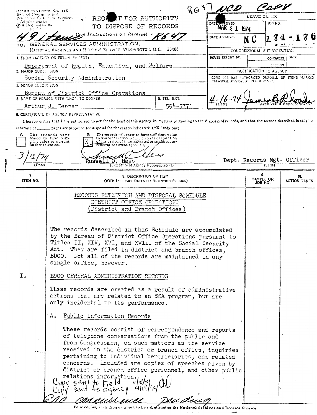|                                                                                  | RG+TNCD                                                                                                                                                                                                                                                                                                                                                                                                           | لمحتمدهم                          |                                                  |
|----------------------------------------------------------------------------------|-------------------------------------------------------------------------------------------------------------------------------------------------------------------------------------------------------------------------------------------------------------------------------------------------------------------------------------------------------------------------------------------------------------------|-----------------------------------|--------------------------------------------------|
| Scandard-Form No. 115<br>Revised November 1951.<br>Presented by General Services | T FOR AUTHORITY<br>REOI                                                                                                                                                                                                                                                                                                                                                                                           | LEAVE ELLIK                       |                                                  |
| Administration<br>GSA Rest. 3-1V-106                                             | <b>VEIVED</b><br>DATE<br>TO DISPOSE OF RECORDS<br>MAR 2 1 1974                                                                                                                                                                                                                                                                                                                                                    | JOB NO.                           |                                                  |
| $113 - 103$                                                                      | (See Instructions on Reverse) + $\angle$<br>DATE APPROVED                                                                                                                                                                                                                                                                                                                                                         |                                   |                                                  |
| TO:                                                                              | GENERAL SERVICES ADMINISTRATION.                                                                                                                                                                                                                                                                                                                                                                                  | N                                 |                                                  |
|                                                                                  | NATIONAL ARCHIVES AND RECORDS SERVICE, VIASHINGTON, D.C. 20408                                                                                                                                                                                                                                                                                                                                                    | CONGRESSIONAL AUTHORIZATION       |                                                  |
|                                                                                  | HOUSE REFORT NO.<br>1. FROM (AGENCY OR ESTABLISH NENT)                                                                                                                                                                                                                                                                                                                                                            |                                   | DATE<br>CONGRESS                                 |
| 2. MAJOR SUBDITISION                                                             | Department of Health, Education, and Walfare                                                                                                                                                                                                                                                                                                                                                                      | NOTIFICATION TO AGENCY            | SESSION                                          |
|                                                                                  | Social Security Administration                                                                                                                                                                                                                                                                                                                                                                                    |                                   | CONGRESS HAS AUTHORIZED DISPOSAL OF ITEMS MARKED |
| 3. MINOR SUBDIVISION                                                             |                                                                                                                                                                                                                                                                                                                                                                                                                   | "CISPOSAL APPROVED" IN COLUMN IQ. |                                                  |
|                                                                                  | Bureau of District Office Operations                                                                                                                                                                                                                                                                                                                                                                              |                                   |                                                  |
|                                                                                  | 5. TEL. EXT.<br>4. NAME OF PERSON WITH WHOM TO CONFER<br>594-5771<br>Arthur J. Benner                                                                                                                                                                                                                                                                                                                             |                                   |                                                  |
|                                                                                  | <b>8. CERTIFICATE OF AGENCY REPRESENTATIVE:</b>                                                                                                                                                                                                                                                                                                                                                                   |                                   |                                                  |
|                                                                                  | I hereby certify that I am authorized to act for the head of this agency in matters pertaining to the disposal of records, and that the records described in this list                                                                                                                                                                                                                                            |                                   |                                                  |
|                                                                                  | schedule of ______ pages are proposed for disposal for the reason indicated: ("X" only one)                                                                                                                                                                                                                                                                                                                       |                                   |                                                  |
| A<br>further retention.                                                          | The records will cease to have sufficient value.<br>The records have<br>в<br>ceased to have suffi-<br>to warrant further retention on the expiration<br>of the period of time indicated or on the occur-<br>cient value to warrant<br>rence of the event specified.                                                                                                                                               |                                   |                                                  |
|                                                                                  |                                                                                                                                                                                                                                                                                                                                                                                                                   |                                   |                                                  |
|                                                                                  | <b>Russell</b><br>$\Omega$ .<br>Hess                                                                                                                                                                                                                                                                                                                                                                              | Dept. Records Mgt. Officer        |                                                  |
| (Date)                                                                           | (Signsture of Agency Representative)                                                                                                                                                                                                                                                                                                                                                                              | (Title)                           |                                                  |
| 7.<br>ITEM NO.                                                                   | 8. DESCRIPTION OF ITEM<br>(WITH INCLUSIVE DATES OR RETENTION PERIODS)                                                                                                                                                                                                                                                                                                                                             | 9.<br>SAMPLE OR<br>JOB NO.        | 10.<br>ACTION TAKEN                              |
|                                                                                  | RECORDS RETENTION AND DISPOSAL SCHEDULE<br>DISTRICT OFFICE OPERATIONS<br>(District and Branch Offices)                                                                                                                                                                                                                                                                                                            |                                   |                                                  |
|                                                                                  | The records described in this Schedule are accumulated<br>by the Bureau of District Office Operations pursuant to<br>Titles II, XIV, XVI, and XVIII of the Social Security<br>Act. They are filed in district and branch offices,<br>BDOO. Not all of the records are maintained in any<br>single office, however.                                                                                                |                                   |                                                  |
| I.                                                                               | BDOO GENERAL ADMINISTRATION RECORDS                                                                                                                                                                                                                                                                                                                                                                               |                                   |                                                  |
|                                                                                  | These records are created as a result of administrative<br>actions that are related to an SSA program, but are<br>only incidental to its performance.                                                                                                                                                                                                                                                             |                                   |                                                  |
|                                                                                  | Public Information Records<br>Α.                                                                                                                                                                                                                                                                                                                                                                                  |                                   |                                                  |
|                                                                                  | These records consist of correspondence and reports<br>of telephone conversations from the public and<br>from Congressmen, on such matters as the service<br>received in the district or branch office, inquiries<br>pertaining to individual beneficiaries, and related<br>concerns. Included are copies of speeches given by<br>district or branch office personnel, and other public<br>relations information. |                                   |                                                  |
|                                                                                  | $s$ entto E                                                                                                                                                                                                                                                                                                                                                                                                       |                                   |                                                  |
|                                                                                  |                                                                                                                                                                                                                                                                                                                                                                                                                   |                                   |                                                  |
|                                                                                  | Four conjes, including original, to be substitted to the National<br>rchives and Records Service                                                                                                                                                                                                                                                                                                                  |                                   |                                                  |

 $\ddot{\phantom{0}}$ 

هب

122711227

 $\ddots$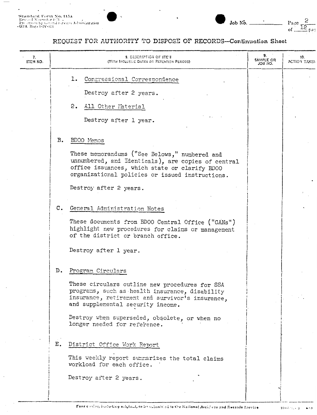$\blacksquare$ 

 $\ddot{\phantom{0}}$ 

#### REQUEST FOR AUTHORITY TO DISPOSE OF RECORDS-Continuation Sheet

| 7.<br>ITEM NO. |    | <b>S. DESCRIPTION OF ITEM</b><br>(WITH INCLUSIVE DATES OR RETENTION PERIODS).                                                                                                                           | 9.<br>SAMPLE OR<br>ON EOL | 10.<br>ACTION TAKEN |
|----------------|----|---------------------------------------------------------------------------------------------------------------------------------------------------------------------------------------------------------|---------------------------|---------------------|
|                |    | Congressional Correspondence<br>ı.                                                                                                                                                                      |                           |                     |
|                |    | Destroy after 2 years.                                                                                                                                                                                  |                           |                     |
|                |    | 2.<br>All Other Material                                                                                                                                                                                |                           |                     |
|                |    | Destroy after 1 year.                                                                                                                                                                                   |                           |                     |
|                | в. | BDOO Memos                                                                                                                                                                                              |                           |                     |
|                |    | These memorandums ("See Belows," numbered and<br>unnumbered, and Identicals), are copies of central<br>office issuances, which state or clarify BD00<br>organizational policies or issued instructions. |                           |                     |
|                |    | Destroy after 2 years.                                                                                                                                                                                  |                           |                     |
|                |    | C. General Administration Notes                                                                                                                                                                         |                           |                     |
|                |    | These documents from BDOO Central Office ("GANs")<br>highlight new procedures for claims or management<br>of the district or branch office.                                                             |                           |                     |
|                |    | Destroy after 1 year.                                                                                                                                                                                   |                           |                     |
|                | D. | Program Circulars                                                                                                                                                                                       |                           |                     |
|                |    | These circulars outline new procedures for SSA<br>programs, such as health insurance, disability<br>insurance, retirement and survivor's insurance,<br>and supplemental security income.                |                           |                     |
|                |    | Destroy when superseded, obsolete, or when no<br>longer needed for reference.                                                                                                                           |                           |                     |
|                | Ε. | District Office Work Report                                                                                                                                                                             |                           |                     |
|                |    | This weekly report summarizes the total claims<br>workload for each office.                                                                                                                             |                           |                     |
|                |    | Destroy after 2 years.                                                                                                                                                                                  |                           |                     |
|                |    |                                                                                                                                                                                                         |                           |                     |

 $\mathbf{16} + \lambda \mathbf{11}$  ,  $\mathbf{2}$  $\cdots$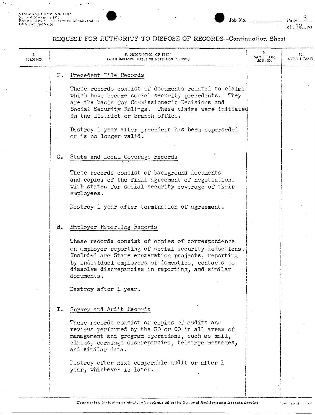Standard Form No. 1155<br>|Revol Nevocia: 1951<br>|Progribal by Gooral Services Administration<br>|GSA||Reg. 3-1V-466

 $\overline{\phantom{a}}$ 

 $\cdot$ 

 $\ddot{\phantom{0}}$ 

# REQUEST FOR AUTHORITY TO DISPOSE OF RECORDS-Continuation Sheet

| 7.<br>CH KJT. |    | 8. DESCRIPTION OF ITEM<br>(WITH INCLUSIVE DATES OR RETENTION PERIODS)                                                                                                                                                                                                                  | 9.<br>SAMPLE OR<br>JO3 NO. | 10.<br>ACTION TAKE! |
|---------------|----|----------------------------------------------------------------------------------------------------------------------------------------------------------------------------------------------------------------------------------------------------------------------------------------|----------------------------|---------------------|
|               | F. | Precedent File Records                                                                                                                                                                                                                                                                 |                            |                     |
|               |    | These records consist of documents related to claims<br>which have become social security precedents. They<br>are the basis for Commissioner's Decisions and<br>Social Security Rulings. These claims were initiated<br>in the district or branch office.                              |                            |                     |
|               |    | Destroy 1 year after precedent has been superseded<br>or is no longer valid.                                                                                                                                                                                                           |                            |                     |
|               |    | G. State and Local Coverage Records                                                                                                                                                                                                                                                    |                            |                     |
|               |    | These records consist of background documents<br>and copies of the final agreement of negotiations<br>with states for social security coverage of their<br>employees.                                                                                                                  |                            |                     |
|               |    | Destroy 1 year after termination of agreement.                                                                                                                                                                                                                                         |                            |                     |
|               | н. | Employer Reporting Records                                                                                                                                                                                                                                                             |                            |                     |
|               |    | These records consist of copies of correspondence<br>on employer reporting of social security deductions.<br>Included are State enumeration projects, reporting<br>by individual employers of domestics, contacts to<br>dissolve discrepancies in reporting, and similar<br>documents. |                            |                     |
|               |    | Destroy after 1 year.                                                                                                                                                                                                                                                                  |                            |                     |
|               |    | I. Survey and Audit Records                                                                                                                                                                                                                                                            |                            |                     |
|               |    | These records consist of copies of audits and<br>reviews performed by the RO or CO in all areas of<br>management and program operations, such as mail,<br>claims, earnings discrepancies, teletype messages,<br>and similar data.                                                      |                            |                     |
|               |    | Destroy after next comparable audit or after 1<br>year, whichever is later.                                                                                                                                                                                                            |                            |                     |
|               |    |                                                                                                                                                                                                                                                                                        |                            |                     |

 $16 + 53 + 25 + 2$  $6 - 3$ 

 $\frac{Page}{of\_12\_pa}$ 

Job No.  $\overline{ }$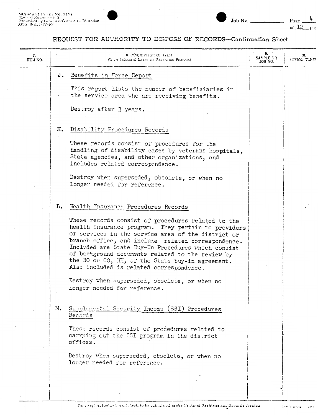$\blacksquare$ 

 $\overline{a}$ 

 $\blacksquare$ 



| 7.<br>ITEM NO. |    | <b>8. DESCRIPTION OF ITEN</b><br>(WITH INCLUSIVE DATES OR RETENTION PERIODS)                                                                                                                                                                                                                                                                                                                                                    | 9.<br>SAMPLE OR<br>.CK 80L | 10.<br>ACTION TAKE! |
|----------------|----|---------------------------------------------------------------------------------------------------------------------------------------------------------------------------------------------------------------------------------------------------------------------------------------------------------------------------------------------------------------------------------------------------------------------------------|----------------------------|---------------------|
|                |    | J. Benefits in Force Report                                                                                                                                                                                                                                                                                                                                                                                                     |                            |                     |
|                |    | This report lists the number of beneficiaries in<br>the service area who are receiving benefits.                                                                                                                                                                                                                                                                                                                                |                            |                     |
|                |    | Destroy after 3 years.                                                                                                                                                                                                                                                                                                                                                                                                          |                            |                     |
|                |    | K. Disability Procedures Records                                                                                                                                                                                                                                                                                                                                                                                                |                            |                     |
|                |    | These records consist of procedures for the<br>handling of disability cases by veterans hospitals,<br>State agencies, and other organizations, and<br>includes related correspondence.                                                                                                                                                                                                                                          |                            |                     |
|                |    | Destroy when superseded, obsolete, or when no<br>longer needed for reference.                                                                                                                                                                                                                                                                                                                                                   |                            |                     |
|                | L. | Health Insurance Procedures Records                                                                                                                                                                                                                                                                                                                                                                                             |                            |                     |
|                |    | These records consist of procedures related to the<br>health insurance program. They pertain to providers<br>of services in the service area of the district or<br>branch office, and include related correspondence.<br>Included are State Buy-In Procedures which consist<br>of background documents related to the review by<br>the RO or CO, HI, of the State buy-in agreement.<br>Also included is related correspondence. |                            |                     |
|                |    | Destroy when superseded, obsolete, or when no<br>longer needed for reference.                                                                                                                                                                                                                                                                                                                                                   |                            |                     |
|                | М. | Supplemental Security Income (SSI) Procedures<br>Records                                                                                                                                                                                                                                                                                                                                                                        |                            |                     |
|                |    | These records consist of procedures related to<br>carrying out the SSI program in the district<br>offices.                                                                                                                                                                                                                                                                                                                      |                            |                     |
|                |    | Destroy when superseded, obsolete, or when no<br>longer needed for reference.                                                                                                                                                                                                                                                                                                                                                   |                            |                     |
|                |    |                                                                                                                                                                                                                                                                                                                                                                                                                                 |                            |                     |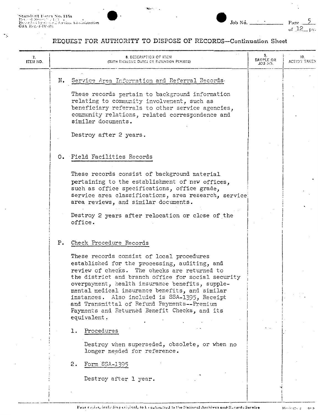"Standford Form No. 115a<br>"Beyood Novem" (1571)<br>"Prezidon by Gon La Services Administration<br>"GSA Teglo3-IV-09"

τÿ.



 $5<sub>1</sub>$ Page<br>of 12  $\ddot{\phantom{a}}$  $632$ 

Job No.

| 7.<br>ITEM NO. | <b>8. DESCRIPTION OF ITEM</b><br>(WITH INCLUDIVE DATES OR ESTENTION PERIODS)                                                                                                                                                                                                                                                                                                                                                                                                                        | 9.<br>SANPLE OR<br>JOB 80. | 10.<br>ACTION TAKEN |
|----------------|-----------------------------------------------------------------------------------------------------------------------------------------------------------------------------------------------------------------------------------------------------------------------------------------------------------------------------------------------------------------------------------------------------------------------------------------------------------------------------------------------------|----------------------------|---------------------|
|                | Service Area Information and Referral Records.<br>N.<br>These records pertain to background information<br>relating to community involvement, such as<br>beneficiary referrals to other service agencies,<br>community relations, related correspondence and<br>similar documents.                                                                                                                                                                                                                  |                            |                     |
|                | Destroy after 2 years.                                                                                                                                                                                                                                                                                                                                                                                                                                                                              |                            |                     |
|                | O. Field Facilities Records<br>These records consist of background material<br>pertaining to the establishment of new offices,<br>such as office specifications, office grade,<br>service area classifications, area research, service<br>area reviews, and similar documents.<br>Destroy 2 years after relocation or close of the<br>office.                                                                                                                                                       |                            |                     |
|                | P. Check Procedure Records<br>These records consist of local procedures<br>established for the processing, auditing, and<br>review of checks. The checks are returned to<br>the district and branch office for social security<br>overpayment, health insurance benefits, supple-<br>mental medical insurance benefits, and similar<br>instances. Also included is SSA-1395, Receipt<br>and Transmittal of Refund Payments--Premium<br>Payments and Returned Benefit Checks, and its<br>equivalent. |                            |                     |
|                | Procedures<br>ı.<br>Destroy when superseded, obsolete, or when no<br>longer needed for reference.<br>2.<br>Form SSA-1395                                                                                                                                                                                                                                                                                                                                                                            |                            |                     |
|                | Destroy after 1 year.                                                                                                                                                                                                                                                                                                                                                                                                                                                                               |                            |                     |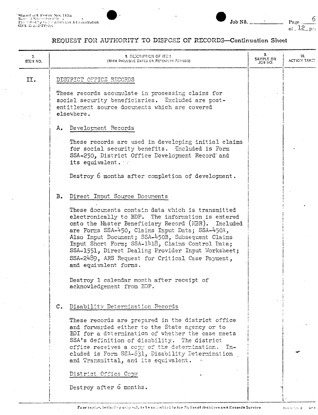$\ddot{\phantom{a}}$ 

 $\ddot{\phantom{a}}$ 



 $\frac{6}{1}$ Page  $01 - 12$ – p∴g

| 7.<br><b>ITEM NO.</b> |               | <b>3. DESCRIPTION OF ITEM</b><br>(WITH INCLUSIVE DATES OR RETENTION PERIODS).                                                                                                                                                                                                                                                                                                                                                                              | 9.<br>SAMPLE OR<br>JOB NO. | 10.<br>ACTION TAKE! |
|-----------------------|---------------|------------------------------------------------------------------------------------------------------------------------------------------------------------------------------------------------------------------------------------------------------------------------------------------------------------------------------------------------------------------------------------------------------------------------------------------------------------|----------------------------|---------------------|
| II.                   |               | DISTRICT OFFICE RECORDS                                                                                                                                                                                                                                                                                                                                                                                                                                    |                            |                     |
|                       |               | These records accumulate in processing claims for<br>social security beneficiaries. Excluded are post-<br>entitlement source documents which are covered<br>elsewhere.                                                                                                                                                                                                                                                                                     |                            |                     |
|                       | Α.            | Develorment Records                                                                                                                                                                                                                                                                                                                                                                                                                                        |                            |                     |
|                       |               | These records are used in developing initial claims<br>for social security benefits. Included is Form<br>SSA-250, District Office Development Record and<br>its equivalent.                                                                                                                                                                                                                                                                                |                            |                     |
|                       |               | Destroy 6 months after completion of development.                                                                                                                                                                                                                                                                                                                                                                                                          |                            |                     |
|                       | $B_{\bullet}$ | Direct Inout Source Documents                                                                                                                                                                                                                                                                                                                                                                                                                              |                            |                     |
|                       |               | These documents contain data which is transmitted<br>electronically to BDP. The information is entered<br>onto the Master Beneficiary Record (NBR). Included<br>are Forms SSA-450, Claims Input Data; SSA-450A,<br>Also Input Document; SSA-450B, Subsequent Claims<br>Input Short Form; SSA-1418, Claims Control Data;<br>SSA-1551, Direct Dealing Provider Input Worksheet;<br>SSA-2489, ARS Request for Critical Case Payment,<br>and equivalent forms. |                            |                     |
|                       |               | Destroy 1 calendar month after receipt of<br>acknowledgement from EDP.                                                                                                                                                                                                                                                                                                                                                                                     |                            |                     |
|                       |               | C. Disability Determination Records                                                                                                                                                                                                                                                                                                                                                                                                                        |                            |                     |
|                       |               | These records are prepared in the district office<br>and forwarded either to the State agency or to<br>BDI for a determination of whether the case meets<br>SSA's definition of disability. The district<br>office receives a copy of the determination.<br>$In-$<br>cluded is Form SSA-831, Disability Determination<br>and Transmittal, and its equivalent.                                                                                              |                            |                     |
|                       |               | District Office Copy                                                                                                                                                                                                                                                                                                                                                                                                                                       |                            |                     |
|                       |               | Destroy after 6 months.                                                                                                                                                                                                                                                                                                                                                                                                                                    |                            |                     |
|                       |               |                                                                                                                                                                                                                                                                                                                                                                                                                                                            |                            |                     |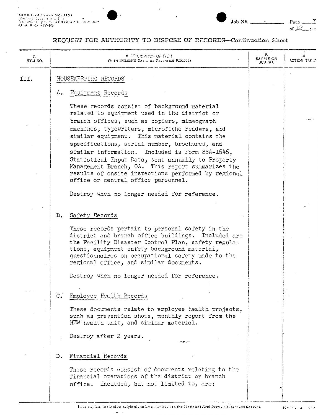$\cdot$ 



# REQUEST FOR AUTHORITY TO DISPOSE OF RECORDS-Continuation Sheet

 $\ddot{\phantom{0}}$ 

| 7.<br>ITEM NO. |                  | 8 DESCRIPTION OF ITEM<br>(WITH INCLUSIVE DATES OR RETENTION PERIODS)                                                                                                                                                                                                                                                                                                                                                                                                                                                                                          | 9.<br>SAMPLE OR<br>JCB NO. | 10.<br><b>ACTION TAKEY</b> |
|----------------|------------------|---------------------------------------------------------------------------------------------------------------------------------------------------------------------------------------------------------------------------------------------------------------------------------------------------------------------------------------------------------------------------------------------------------------------------------------------------------------------------------------------------------------------------------------------------------------|----------------------------|----------------------------|
| III.           |                  | HOUSEKEEPING RECORDS                                                                                                                                                                                                                                                                                                                                                                                                                                                                                                                                          |                            |                            |
|                | A.               | Equipment Records                                                                                                                                                                                                                                                                                                                                                                                                                                                                                                                                             |                            |                            |
|                |                  | These records consist of background material<br>related to equipment used in the district or<br>branch offices, such as copiers, mimeograph<br>machines, typewriters, microfiche readers, and<br>similar equipment. This material contains the<br>specifications, serial number, brochures, and<br>Included is Form SSA-1646,<br>similar information.<br>Statistical Input Data, sent annually to Property<br>Management Branch, OA. This report summarizes the<br>results of onsite inspections performed by regional<br>office or central office personnel. |                            |                            |
|                |                  | Destroy when no longer needed for reference.                                                                                                                                                                                                                                                                                                                                                                                                                                                                                                                  |                            |                            |
|                | $B_{\bullet}$    | Safety Records                                                                                                                                                                                                                                                                                                                                                                                                                                                                                                                                                |                            |                            |
|                |                  | These records pertain to personal safety in the<br>district and branch office buildings. Included are<br>the Facility Disaster Control Plan, safety regula-<br>tions, equipment safety background material,<br>questionnaires on occupational safety made to the<br>regional office, and similar documents.                                                                                                                                                                                                                                                   |                            |                            |
|                |                  | Destroy when no longer needed for reference.                                                                                                                                                                                                                                                                                                                                                                                                                                                                                                                  |                            |                            |
|                | $\mathfrak{c}$ . | Employee Health Records                                                                                                                                                                                                                                                                                                                                                                                                                                                                                                                                       |                            |                            |
|                |                  | These documents relate to employee health projects,<br>such as prevention shots, monthly report from the<br>HEW health unit, and similar material.                                                                                                                                                                                                                                                                                                                                                                                                            |                            |                            |
|                |                  | Destroy after 2 years.                                                                                                                                                                                                                                                                                                                                                                                                                                                                                                                                        |                            |                            |
|                | $D_{\bullet}$    | Financial Records                                                                                                                                                                                                                                                                                                                                                                                                                                                                                                                                             |                            |                            |
|                |                  | These records consist of documents relating to the<br>firancial operations of the district or branch<br>Included, but not limited to, are:<br>office.                                                                                                                                                                                                                                                                                                                                                                                                         |                            |                            |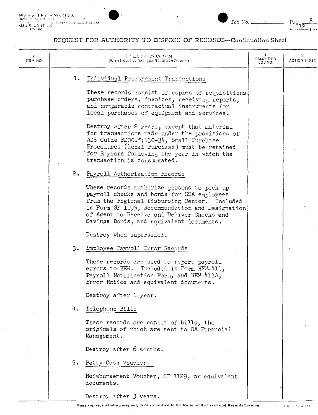



 $\frac{8}{1}$ 

| 7.<br>ITEM NO. |    | <b>8. DESCRIPTION OF ITEM</b><br>(WITH INCLUSIVE DATES OR RETENTION PEFICOS).                                                                                                                                                                                                          | 9.<br><b>SAMPLE CR</b><br>LON EQL | 10.<br><b>ACTIC'S TEXEN</b> |
|----------------|----|----------------------------------------------------------------------------------------------------------------------------------------------------------------------------------------------------------------------------------------------------------------------------------------|-----------------------------------|-----------------------------|
|                |    | 1. Individual Procurement Transactions                                                                                                                                                                                                                                                 |                                   |                             |
|                |    | These records consist of copies of requisitions.<br>purchase orders, invoices, receiving reports,<br>and comparable contractual instruments for<br>local purchases of equipment and services.                                                                                          |                                   |                             |
|                |    | Destroy after 2 years, except that material<br>for transactions made under the provisions of<br>ADS Guide BD00.f:130-34, Small Purchase<br>Procedures (Local Purchase) must be retained<br>for 3 years following the year in which the<br>transaction is consummated.                  |                                   |                             |
|                | 2. | Payroll Authorization Records                                                                                                                                                                                                                                                          |                                   |                             |
|                |    | These records authorize persons to pick up<br>payroll checks and bonds for SSA employees<br>from the Regional Disbursing Center. Included<br>is Form SF 1195, Recommendation and Designation<br>of Agent to Receive and Deliver Checks and<br>Savings Bonds, and equivalent documents. |                                   |                             |
|                |    | Destroy when superseded.                                                                                                                                                                                                                                                               |                                   |                             |
|                | 3. | Employee Payroll Error Records                                                                                                                                                                                                                                                         |                                   |                             |
|                |    | These records are used to report payroll<br>errors to HEW. Included is Form HEW-411,<br>Payroll Notification Form, and HEW-411A,<br>Error Notice and equivalent documents.                                                                                                             |                                   |                             |
|                |    | Destroy after 1 year.                                                                                                                                                                                                                                                                  |                                   |                             |
|                | 4. | Telephone Bills                                                                                                                                                                                                                                                                        |                                   |                             |
|                |    | These records are copies of bills, the<br>originals of which are sent to OA Financial<br>Management.                                                                                                                                                                                   |                                   |                             |
|                |    | Destroy after 6 months.                                                                                                                                                                                                                                                                |                                   |                             |
|                | 5. | Petty Cash Vouchers                                                                                                                                                                                                                                                                    |                                   |                             |
|                |    | Reimbursement Voucher, SF 1129, or equivalent<br>documents.                                                                                                                                                                                                                            |                                   |                             |
|                |    | Destroy after 3 years.                                                                                                                                                                                                                                                                 |                                   |                             |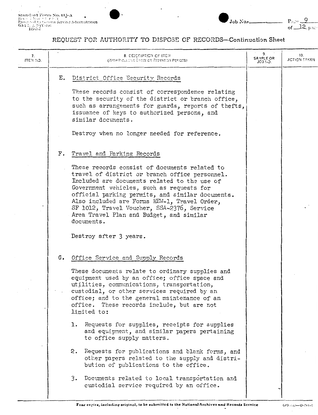$P_{\text{age}} \frac{9}{6 \text{ m}^2}$ 

Job No.

| 7.<br>ITEM NO. |    | <b>8. DESCRIPTION OF ITEM</b><br>(WITH INOLLOWE DATES OR RETENTION PERIODS)                                                                                                                                                                                                                                                                                                                              | 9.<br>SAMPLE OR<br>JOB NO. | 10.<br><b>ACTION TAKEN</b> |
|----------------|----|----------------------------------------------------------------------------------------------------------------------------------------------------------------------------------------------------------------------------------------------------------------------------------------------------------------------------------------------------------------------------------------------------------|----------------------------|----------------------------|
|                | Е. | District Office Security Records                                                                                                                                                                                                                                                                                                                                                                         |                            |                            |
|                |    | These records consist of correspondence relating<br>to the security of the district or branch office,<br>such as arrangements for guards, reports of thefts,<br>issuance of keys to authorized persons, and<br>similar documents.                                                                                                                                                                        |                            |                            |
|                |    | Destroy when no longer needed for reference.                                                                                                                                                                                                                                                                                                                                                             |                            |                            |
|                | F. | Travel and Farking Records                                                                                                                                                                                                                                                                                                                                                                               |                            |                            |
|                |    | These records consist of documents related to<br>travel of district or branch office personnel.<br>Included are documents related to the use of<br>Government vehicles, such as requests for<br>official parking permits, and similar documents.<br>Also included are Forms HEW-1, Travel Order,<br>SF 1012, Travel Voucher, SSA-2376, Service<br>Area Travel Plan and Budget, and similar<br>documents. |                            |                            |
|                |    | Destroy after 3 years.                                                                                                                                                                                                                                                                                                                                                                                   |                            |                            |
|                |    | G. Office Service and Supply Records                                                                                                                                                                                                                                                                                                                                                                     |                            |                            |
|                |    | These documents relate to ordinary supplies and<br>equipment used by an office; office space and<br>utilities, communications, transportation,<br>custodial, or other services required by an<br>office; and to the general maintenance of an<br>office. These records include, but are not<br>limited to:                                                                                               |                            |                            |
|                |    | Requests for supplies, receipts for supplies<br>ı.<br>and equipment, and similar papers pertaining<br>to office supply matters.                                                                                                                                                                                                                                                                          |                            |                            |
|                |    | 2.<br>Requests for publications and blank forms, and<br>other papers related to the supply and distri-<br>bution of publications to the office.                                                                                                                                                                                                                                                          |                            |                            |
|                |    | Documents related to local transportation and<br>3.<br>custodial service required by an office.                                                                                                                                                                                                                                                                                                          |                            |                            |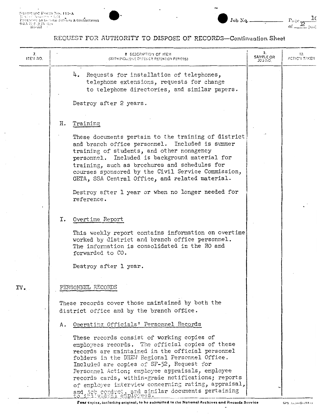$\cdot$ 

# REQUEST FOR AUTHORITY TO DISPOSE OF RECORDS-Continuation Sheet

| 7.<br>ITEM NO. | <b>8 DESCRIPTION OF ITEM</b><br>(WITH INCLUSIVE DATES OR RETENTION PERIODS)                                                                                                                                                                                                                                                                                                                                                                                                                      | Э.<br><b>SAMPLE OR</b><br>JOB NO. | 10.<br>ACTIC'I TAKEN |
|----------------|--------------------------------------------------------------------------------------------------------------------------------------------------------------------------------------------------------------------------------------------------------------------------------------------------------------------------------------------------------------------------------------------------------------------------------------------------------------------------------------------------|-----------------------------------|----------------------|
|                | 4. Requests for installation of telephones,<br>telephone extensions, requests for change<br>to telephone directories, and similar papers.<br>Destroy after 2 years.                                                                                                                                                                                                                                                                                                                              |                                   |                      |
|                | Training<br>н.                                                                                                                                                                                                                                                                                                                                                                                                                                                                                   |                                   |                      |
|                | These documents pertain to the training of district<br>and branch office personnel. Included is summer<br>training of students, and other nonagency<br>Included is background material for<br>personnel.<br>training, such as brochures and schedules for<br>courses sponsored by the Civil Service Commission,<br>GETA, SSA Central Office, and related material.                                                                                                                               |                                   |                      |
|                | Destroy after 1 year or when no longer needed for<br>reference.                                                                                                                                                                                                                                                                                                                                                                                                                                  |                                   |                      |
|                | Overtime Report<br>I.<br>This weekly report contains information on overtime<br>worked by district and branch office personnel.<br>The information is consolidated in the RO and<br>forwarded to CO.                                                                                                                                                                                                                                                                                             |                                   |                      |
|                | Destroy after 1 year.                                                                                                                                                                                                                                                                                                                                                                                                                                                                            |                                   |                      |
| IV.            | PERSONNEL RECORDS<br>These records cover those maintained by both the<br>district office and by the branch office.                                                                                                                                                                                                                                                                                                                                                                               |                                   |                      |
|                | Operating Officials' Personnel Records<br>Α.                                                                                                                                                                                                                                                                                                                                                                                                                                                     |                                   |                      |
|                | These records consist of working copies of<br>employees records. The official copies of these<br>records are maintained in the official personnel<br>folders in the DHEM Regional Personnel Office.<br>Included are copies of SF-52, Request for<br>Personnel Action; employee appraisals, employee<br>records cards, within-grade notifications; reports<br>of employee interview concerning rating, appraisal,<br>and job conduct, and similar documents pertaining<br>to initudual employees. |                                   |                      |

Four copier, including original, to be submitted to the National Archives and Records Service

 $\overline{\phantom{a}}$ 

Page  $\frac{10}{\text{of } \frac{1}{20}}$ 

Job Nq.  $=$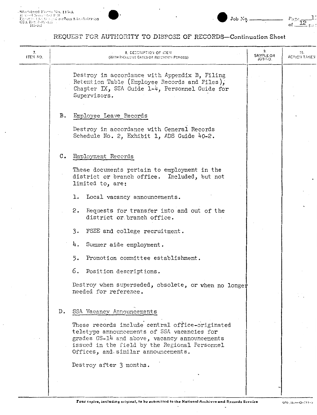# REQUEST FOR AUTHORITY TO DISPOSE OF RECORDS-Continuation Sheet

Job No.  $-$ 

 $\mathfrak{p}$ 

 $\frac{\text{Page} \cdot \text{12}}{\text{of} \cdot \text{12}}$  p.s.

| 7.<br>ITEM NO. |    | <b>8. DECORIPTION OF ITEM</b><br>(WITH INCLUSIVE DATES OR RETENTION PERIODS)                                                                                                                                                            | 9.<br>SAMPLE OR<br>JO3 110. | 10.<br>ACTION TAKEN |
|----------------|----|-----------------------------------------------------------------------------------------------------------------------------------------------------------------------------------------------------------------------------------------|-----------------------------|---------------------|
|                |    | Destroy in accordance with Appendix B, Filing<br>Retention Table (Employee Records and Files),<br>Chapter IX, SSA Guide 1-4, Personnel Guide for<br>Supervisors.                                                                        |                             |                     |
|                | в. | Employee Leave Records                                                                                                                                                                                                                  |                             |                     |
|                |    | Destroy in accordance with Ceneral Records<br>Schedule No. 2, Exhibit 1, ADS Guide 40-2.                                                                                                                                                |                             |                     |
|                | c. | Employment Records                                                                                                                                                                                                                      |                             |                     |
|                |    | These documents pertain to employment in the<br>district or branch office. Included, but not<br>limited to, are:                                                                                                                        |                             |                     |
|                |    | Local vacancy announcements.<br>ı.                                                                                                                                                                                                      |                             |                     |
|                |    | 2. Requests for transfer into and out of the<br>district or branch office.                                                                                                                                                              |                             |                     |
|                |    | 3.<br>FSEE and college recruitment.                                                                                                                                                                                                     |                             |                     |
|                |    | 4.<br>Summer aide employment.                                                                                                                                                                                                           |                             |                     |
|                |    | Promotion committee establishment.<br>5.                                                                                                                                                                                                |                             |                     |
|                |    | 6. Position descriptions.                                                                                                                                                                                                               |                             |                     |
|                |    | Destroy when superseded, obsolete, or when no longer<br>needed for reference.                                                                                                                                                           |                             |                     |
|                |    | D. SSA Vacancy Announcements                                                                                                                                                                                                            |                             |                     |
|                |    | These records include central office-originated<br>teletype announcements of SSA vacancies for<br>grades CS-14 and above, vacancy announcements<br>issued in the field by the Regional Personnel<br>Offices, and similar announcements. |                             |                     |
|                |    | Destroy after 3 months.                                                                                                                                                                                                                 |                             |                     |
|                |    |                                                                                                                                                                                                                                         |                             |                     |
|                |    |                                                                                                                                                                                                                                         |                             |                     |

 $\cdot$ 

 $\downarrow$ 

 $GPO: 195 \rightarrow O-711 - 5$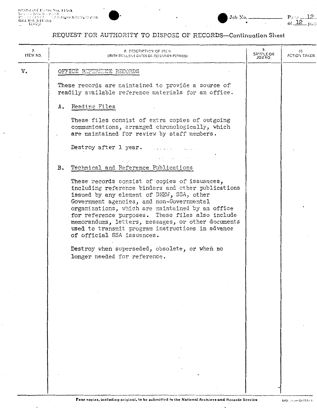# Job No.

Parte  $\frac{12}{\text{of } \frac{12}{\text{of } \frac{12}{\text{of}}}$ 

# REQUEST FOR AUTHORITY TO DISPOSE OF RECORDS-Continuation Sheet

| 7.<br>ITEM NO. | <b>8. DESCRIPTION OF ITEM</b><br>(WITH INCLUSIVE DATES OR RETENTION PEPIODS).                                                                                                                                                                                                                                                                                                                                                                                                                                                  | 9.<br><b>SAMPLE OR</b><br>ON EOL | 10.<br>ACTION TAKEN |
|----------------|--------------------------------------------------------------------------------------------------------------------------------------------------------------------------------------------------------------------------------------------------------------------------------------------------------------------------------------------------------------------------------------------------------------------------------------------------------------------------------------------------------------------------------|----------------------------------|---------------------|
| v.             | OFFICE REFERENCE RECORDS                                                                                                                                                                                                                                                                                                                                                                                                                                                                                                       |                                  |                     |
|                | These records are maintained to provide a source of<br>readily available reference materials for an office.                                                                                                                                                                                                                                                                                                                                                                                                                    |                                  |                     |
|                | A. Reading Files                                                                                                                                                                                                                                                                                                                                                                                                                                                                                                               |                                  |                     |
|                | These files consist of extra copies of outgoing<br>communications, arranged chronologically, which<br>are maintained for review by staff members.                                                                                                                                                                                                                                                                                                                                                                              |                                  |                     |
|                | Destroy after 1 year.                                                                                                                                                                                                                                                                                                                                                                                                                                                                                                          |                                  |                     |
|                | B. Technical and Reference Publications                                                                                                                                                                                                                                                                                                                                                                                                                                                                                        |                                  |                     |
|                | These records consist of copies of issuances,<br>including reference binders and other publications<br>issued by any element of DHEW, SSA, other<br>Government agencies, and non-Governmental<br>organizations, which are maintained by an office<br>for reference purposes. These files also include<br>memorandums, letters, messages, or other documents<br>used to transmit program instructions in advance<br>of official SSA issuances.<br>Destroy when superseded, obsolete, or when no<br>longer needed for reference. |                                  |                     |
|                |                                                                                                                                                                                                                                                                                                                                                                                                                                                                                                                                |                                  |                     |
|                | $\sim$ 10 $\pm$                                                                                                                                                                                                                                                                                                                                                                                                                                                                                                                |                                  |                     |
|                | $\sim 10^{11}$ m $^{-1}$<br><b>Contractor</b><br>$\sim 10^{-11}$                                                                                                                                                                                                                                                                                                                                                                                                                                                               |                                  |                     |
|                | $\sim$<br>$\sim$                                                                                                                                                                                                                                                                                                                                                                                                                                                                                                               |                                  |                     |
|                |                                                                                                                                                                                                                                                                                                                                                                                                                                                                                                                                |                                  |                     |
|                |                                                                                                                                                                                                                                                                                                                                                                                                                                                                                                                                |                                  |                     |
|                |                                                                                                                                                                                                                                                                                                                                                                                                                                                                                                                                |                                  |                     |

 $\overline{a}$